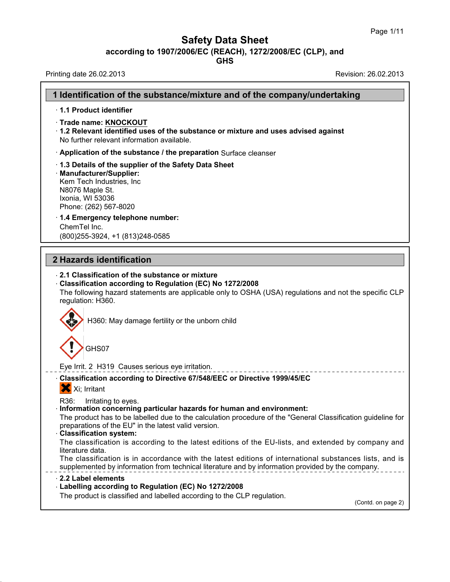**Safety Data Sheet**<br> **according to 1907/2006/EC (REACH), 1272/2008/EC (CLP), and**<br> **GHS** 

| <b>Safety Data Sheet</b><br>according to 1907/2006/EC (REACH), 1272/2008/EC (CLP), and<br><b>GHS</b>                                                                                                                                                                                        | Page III             |
|---------------------------------------------------------------------------------------------------------------------------------------------------------------------------------------------------------------------------------------------------------------------------------------------|----------------------|
| Printing date 26.02.2013                                                                                                                                                                                                                                                                    | Revision: 26.02.2013 |
| 1 Identification of the substance/mixture and of the company/undertaking                                                                                                                                                                                                                    |                      |
| 1.1 Product identifier                                                                                                                                                                                                                                                                      |                      |
| Trade name: KNOCKOUT<br>1.2 Relevant identified uses of the substance or mixture and uses advised against<br>No further relevant information available.                                                                                                                                     |                      |
| Application of the substance / the preparation Surface cleanser                                                                                                                                                                                                                             |                      |
| 1.3 Details of the supplier of the Safety Data Sheet<br>· Manufacturer/Supplier:<br>Kem Tech Industries, Inc.<br>N8076 Maple St.<br>Ixonia, WI 53036<br>Phone: (262) 567-8020<br>· 1.4 Emergency telephone number:                                                                          |                      |
| ChemTel Inc.                                                                                                                                                                                                                                                                                |                      |
| (800) 255-3924, +1 (813) 248-0585                                                                                                                                                                                                                                                           |                      |
| 2 Hazards identification                                                                                                                                                                                                                                                                    |                      |
| 2.1 Classification of the substance or mixture<br>Classification according to Regulation (EC) No 1272/2008<br>The following hazard statements are applicable only to OSHA (USA) regulations and not the specific CLP<br>regulation: H360.<br>H360: May damage fertility or the unborn child |                      |
| GHS07                                                                                                                                                                                                                                                                                       |                      |
| Eye Irrit. 2 H319 Causes serious eye irritation.                                                                                                                                                                                                                                            |                      |
| - Classification according to Directive 67/548/EEC or Directive 1999/45/EC<br>X Xi; Irritant                                                                                                                                                                                                |                      |
| R36:<br>Irritating to eyes.<br>Information concerning particular hazards for human and environment:                                                                                                                                                                                         |                      |
| The product has to be labelled due to the calculation procedure of the "General Classification guideline for<br>preparations of the EU" in the latest valid version.<br><b>Classification system:</b>                                                                                       |                      |
| The classification is according to the latest editions of the EU-lists, and extended by company and<br>literature data.<br>The classification is in accordance with the latest editions of international substances lists, and is                                                           |                      |
| supplemented by information from technical literature and by information provided by the company.<br>2.2 Label elements                                                                                                                                                                     |                      |
| - Labelling according to Regulation (EC) No 1272/2008<br>The product is classified and labelled according to the CLP regulation.                                                                                                                                                            |                      |
|                                                                                                                                                                                                                                                                                             |                      |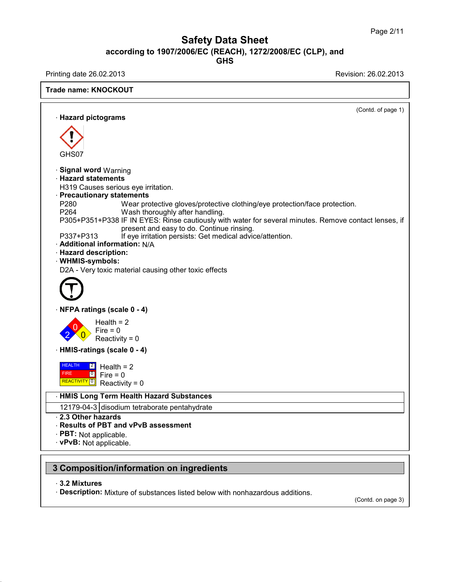## Safety Data Sheet<br><sub>006/EC (REACH), 1272/2008/EC (CLP),<br>GHS</sub> Page 2/11<br>**according to 1907/2006/EC (REACH), 1272/2008/EC (CLP), and<br>GHS<br>Revision: 26.02.2013<br>Revision: 26.02.2013 GHS** Safety Data Sheet<br>according to 1907/2006/EC (REACH), 1272/2008/EC (CLP), and<br>Printing date 26.02.2013<br>Revision: 26.02.2013<br>Revision: 26.02.2013

**Trade name: KNOCKOUT**

(Contd. of page 1) **Example 20.02.2015**<br> **Hazard pictograms** GHS07 **CHS07**<br>• **Signal word** Warning<br>• **Hazard statements**<br>• H319 Causes serious eve irritation **CHSO7**<br>• **Signal word** Warning<br>• **Hazard statements**<br>• H319 Causes serious eye irrit<br>• **Precautionary statements** GHS07<br>
Signal word Warning<br>
Hazard statements<br>
H319 Causes serious eye irritation.<br>
Precautionary statements<br>
P280. Mear protective gloves/pro GHS07<br> **Signal word Warning<br>
Hazard statements**<br>
H319 Causes serious eye irritation.<br> **Precautionary statements**<br>
P280 Wear protective g<br>
P264 Wash thoroughly Signal word Warning<br> **Hazard statements**<br>
H319 Causes serious eye irritation.<br> **Precautionary statements**<br>
P280 Wear protective gloves/protective clothing/eye protection/face protection.<br>
P264 Wash thoroughly after handlin Signal word Warning<br>
Hazard statements<br>
H319 Causes serious eye irritation.<br>
Precautionary statements<br>
P260 Wear protective gloves/protective clothing<br>
P264 Wash thoroughly after handling.<br>
P305+P351+P338 IF IN EYES: Rinse **Hazard statements**<br>
H319 Causes serious eye irritation.<br> **Precautionary statements**<br>
P280 Wear protective gloves/protective clothing/eye protection/face protection.<br>
P264 Wash thoroughly after handling.<br>
P305+P351+P338 IF us eye irritation.<br>**tements**<br>Wear protective gloves/protective clothing/eye protec<br>Wash thoroughly after handling.<br>IF IN EYES: Rinse cautiously with water for several r<br>present and easy to do. Continue rinsing.<br>If eye irri **Precautionary statements**<br>
P280 Wear protective gloves/protective clothing/eye protection/<br>
P264 Wash thoroughly after handling.<br>
P305+P351+P338 IF IN EYES: Rinse cautiously with water for several minut<br>
present and easy P280 Wear protective glove<br>P264 Wash thoroughly afte<br>P305+P351+P338 IF IN EYES: Rinse ca<br>present and easy to c<br>P337+P313 If eye irritation persist<br>**Additional information:** N/A<br>**Hazard description:**<br>WHMIS-symbols: P264 Wash fr<br>P305+P351+P338 IF IN EY<br>present<br>P337+P313 If eye irr<br>**Additional information:**<br>**Hazard description:**<br>**WHMIS-symbols:**<br>D2A - Very toxic material c · **WHMIS-symbols:** present and easy to do. Continue rinsing.<br>P337+P313 If eye irritation persists: Get medical advice/a<br>**Additional information:** N/A<br>**Hazard description:**<br>WHMIS-symbols:<br>D2A - Very toxic material causing other toxic effects D2A - Very toxic material causing other toxic<br>
<br> **CONFINEMATELY**<br>
Health = 2  $2 \times 0$  Reactivi Health =  $2$ <br>Fire =  $0$ **igs (scale 0 - 4)**<br>Health = 2<br>Fire = 0<br>Reactivity = 0 ngs (scale 0 - 4)<br>Health = 2<br>Fire = 0<br>Reactivity = 0 **ngs (scale 0 - 4)**<br>Health = 2<br>Fire = 0<br>Reactivity = 0<br>**gs (scale 0 - 4) EXECUTE: HEALTH 2** Health = 2<br> **HEALTH 2** Headth = 2<br> **HMIS-ratings (scale 0 - 4)**<br> **HEALTH 2** Health = 2 HEALTH 2 Hes FIRE **REACTIVITY** 0 **P**  $\boxed{0}$  Fire = 0 Fire = 0<br>
Reactivity = 0<br>
ings (scale 0 - 4)<br>  $\frac{2}{\pi}$  Health = 2<br>
Fire = 0<br>
Reactivity = 0  $\text{Reactivity} = 0$ <br>  $\text{Is (scale 0 - 4)}$ <br>  $\text{Health} = 2$ <br>  $\text{Fire} = 0$ <br>  $\text{Reactivity} = 0$  $\begin{aligned} &\text{res}(\text{scale 0 - 4})\ &\text{Health} &= 2\ &\text{Fire} &= 0\ &\text{Reactivity} &= 0\ &\text{Term Health Hazard Substan}\ \end{aligned}$ **HEALTH 2** Health = 2<br>
FIRE <sup>0</sup> Fire = 0<br>
REACTIVITY <sup>0</sup> Reactivity = 0<br> **HMIS Long Term Health Hazard Substances**<br>
12179-04-3 disodium tetraborate pentahydrate HEALTH 2 Health = 2<br>
FIRE C O Fire = 0<br>
Reactivity = 0<br>
HMIS Long Term Health Hazard Substances<br>
12179-04-3 disodium tetraborate pentahydrate<br>
2.3 Other hazards<br>
2.3 Other hazards **EXACTIVITY 10** Reactivity = 0<br> **HMIS Long Term Health Ha.**<br> **12179-04-3** disodium tetraborology<br> **2.3 Other hazards<br>
<b>Results of PBT and vPvB as**<br> **PBT:** Not applicable **Example 19 Accounty - 0**<br> **Results Of PBT and vPvB assessment**<br> **Results of PBT and vPvB assessment**<br> **RESULTS OF PBT and vPvB assessment**<br> **PBT:** Not applicable.<br> **PPVB:** Not applicable • HMIS Long Term Health Ha<br>
12179-04-3 disodium tetrabo<br>
• 2.3 Other hazards<br>
• Results of PBT and vPvB a<br>
• PBT: Not applicable.<br>
• vPvB: Not applicable. 12179-04-3 disodium tetraborate pentahydrate<br> **2.3 Other hazards**<br> **Results of PBT and vPvB assessment**<br> **PBT:** Not applicable.<br> **VPvB:** Not applicable. **3 Composition/information on ingredients<br>
PBT:** Not applicable.<br> **3 Composition/information on ingredients**<br> **3.2 Mixtures PVB: Not applicable.<br>
<b>3.2 Mixtures**<br> **Description:** Mixture c **Composition/information on ingredients**<br>· 3.2 Mixtures<br>· Description: Mixture of substances listed below with nonhazardous additions. (Contd. on page 3)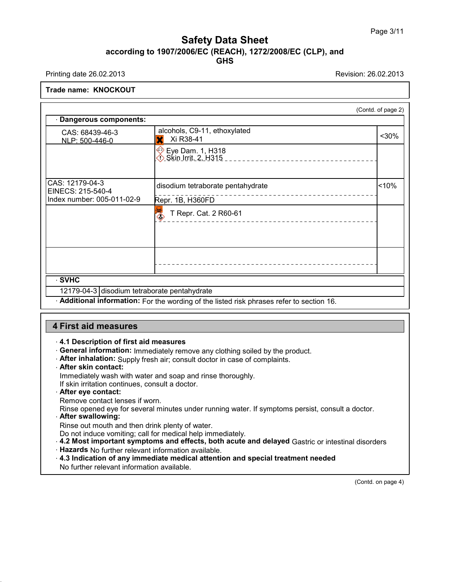## Safety Data Sheet<br><sub>006/EC (REACH), 1272/2008/EC (CLP),<br>GHS</sub> Page 3/11<br>**according to 1907/2006/EC (REACH), 1272/2008/EC (CLP), and<br>GHS<br>Revision: 26.02.2013<br>Revision: 26.02.2013 GHS** Safety Data Sheet<br>according to 1907/2006/EC (REACH), 1272/2008/EC (CLP), and<br>Printing date 26.02.2013<br>Revision: 26.02.2013<br>Revision: 26.02.2013

### **Trade name: KNOCKOUT**

| alcohols, C9-11, ethoxylated<br>CAS: 68439-46-3<br>$30%$<br>X Xi R38-41<br>NLP: 500-446-0<br><b>Eye Dam. 1, H318</b><br>< 10%<br>disodium tetraborate pentahydrate<br>--------------------------<br>Repr. 1B, H360FD<br>$\Diamond$<br>T Repr. Cat. 2 R60-61<br>· SVHC<br>12179-04-3 disodium tetraborate pentahydrate<br>Additional information: For the wording of the listed risk phrases refer to section 16. |                                                                    | (Contd. of page 2) |
|------------------------------------------------------------------------------------------------------------------------------------------------------------------------------------------------------------------------------------------------------------------------------------------------------------------------------------------------------------------------------------------------------------------|--------------------------------------------------------------------|--------------------|
|                                                                                                                                                                                                                                                                                                                                                                                                                  | Dangerous components:                                              |                    |
|                                                                                                                                                                                                                                                                                                                                                                                                                  |                                                                    |                    |
|                                                                                                                                                                                                                                                                                                                                                                                                                  |                                                                    |                    |
|                                                                                                                                                                                                                                                                                                                                                                                                                  | CAS: 12179-04-3<br>EINECS: 215-540-4<br>Index number: 005-011-02-9 |                    |
|                                                                                                                                                                                                                                                                                                                                                                                                                  |                                                                    |                    |
|                                                                                                                                                                                                                                                                                                                                                                                                                  |                                                                    |                    |
|                                                                                                                                                                                                                                                                                                                                                                                                                  |                                                                    |                    |
|                                                                                                                                                                                                                                                                                                                                                                                                                  |                                                                    |                    |
|                                                                                                                                                                                                                                                                                                                                                                                                                  |                                                                    |                    |
|                                                                                                                                                                                                                                                                                                                                                                                                                  | <b>4 First aid measures</b>                                        |                    |

- 
- **Additional Information:** For the wording of the<br> **1 First aid measures**<br>
 **4.1 Description of first aid measures**<br>
 General information: Immediately remove any<br>
 After inhalation: Supply fresh air: consult docto **First aid measures<br>· 4.1 Description of first aid measures<br>· General information: Immediately remove any clothing soiled by the product.<br>· After inhalation: Supply fresh air; consult doctor in case of complaints.<br>· After First aid measures**<br>· 4.1 Description of first aid measures<br>· General information: Immediately remove any clothing soiled by the product.<br>· After inhalation: Supply fresh air; consult doctor in case of complaints.<br>· After **FIRST ald measures**<br>**4.1 Description of first aid m**<br>**General information:** Immed<br>**After skin contact:**<br>Immediately wash with water and if skin irritation continues continues 4.1 Description of first aid measures<br>
General information: Immediately remove any clothing soiled by the<br>
After inhalation: Supply fresh air; consult doctor in case of complain<br>
After skin contact:<br>
Immediately wash with 4.1 Description of first aid measures<br>
General information: Immediately remove any clothin<br>
After inhalation: Supply fresh air; consult doctor in ca:<br>
After skin contact:<br>
Immediately wash with water and soap and rinse tho
- After inhalation: Supply fresh air; consult doctor in case of complaints.<br> **After skin contact:**<br>
Immediately wash with water and soap and rinse thoroughly.<br>
If skin irritation continues, consult a doctor.<br> **After eye cont**
- 
- 
- 
- 

Immediately wash with water and soap and rinse thoroughly.<br>If skin irritation continues, consult a doctor.<br>**After eye contact:**<br>Remove contact lenses if worn.<br>Rinse opened eye for several minutes under running water. It<br>**A** Rinse opened eye for several minutes under running water. If symptoms persist, consult a doctor.

Rinse out mouth and then drink plenty of water.

Do not induce vomiting; call for medical help immediately.

- After eye contact:<br>Remove contact lenses if worn.<br>Rinse opened eye for several minutes under running water. If sy<br>After swallowing:<br>Rinse out mouth and then drink plenty of water.<br>Do not induce vomiting; call for medical h Framove contact lenses if worn.<br> **After swallowing:**<br> **After swallowing:**<br> **After swallowing:**<br> **After swallowing:**<br> **After swallowing:**<br> **After swallowing:**<br> **After swallowing:**<br> **After swallowing:**<br> **After swallowing:**<br>
- 
- Finse opened eye for several minutes under running water.<br> **After swallowing:**<br>
Rinse out mouth and then drink plenty of water.<br>
Do not induce vomiting; call for medical help immediately.<br> **4.2 Most important symptoms and** • **Alter swallowing:**<br>
Rinse out mouth and then drink plenty of water.<br>
Do not induce vomiting; call for medical help immediately.<br>
• **4.2 Most important symptoms and effects, both acute and delayed** Gastric or intestinal Rinse out mouth and then drink plenty of water.<br>Do not induce vomiting; call for medical help imme<br>4.2 Most important symptoms and effects, both<br>Hazards No further relevant information available.<br>4.3 Indication of any imme

(Contd. on page 4)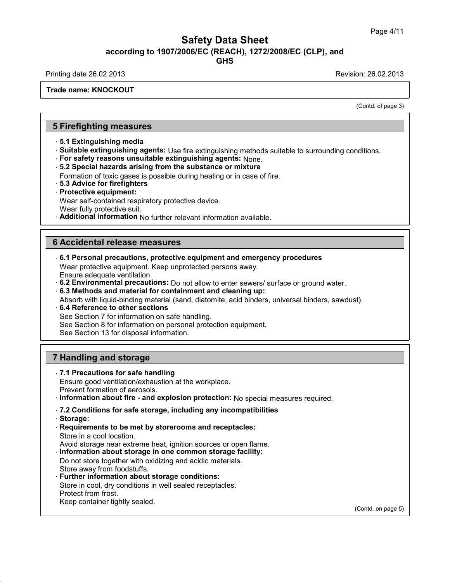# Safety Data Sheet<br><sub>006/EC (REACH), 1272/2008/EC (CLP),<br>GHS</sub> **according to 1907/2006/EC (REACH), 1272/2008/EC (CLP), and<br>according to 1907/2006/EC (REACH), 1272/2008/EC (CLP), and<br>compared to the Season of the Season of the Season of the Season of the Season of the Season of the Sea** Safety Data Sheet<br>according to 1907/2006/EC (REACH), 1272/2008/EC (CLP), and<br>Printing date 26.02.2013<br>Revision: 26.02.2013<br>Revision: 26.02.2013

**GHS**

### **Trade name: KNOCKOUT**

on: 26.02.2013<br>
(Contd. of page 3)

# **Firefighting measures**<br> **5 Firefighting measures**<br> **5.1 Extinguishing media**

- 
- **Firefighting measures**<br>- 5.1 Extinguishing media<br>- Suitable extinguishing agents: Use<br>- For safety reasons unsuitable exting **Firefighting measures**<br>· 5.1 Extinguishing media<br>· Suitable extinguishing agents: Use fire extinguishing methods suitable to surrounding conditions.<br>· For safety reasons unsuitable extinguishing agents: None.<br>· 5.2 Specia **Firefighting measures**<br>- 5.1 Extinguishing media<br>- Suitable extinguishing agents: Use fire extinguishing methods su<br>- For safety reasons unsuitable extinguishing agents: None.<br>- 5.2 Special hazards arising from the substa • **5.1 Extinguishing measures**<br>• **5.1 Extinguishing media**<br>• **Suitable extinguishing agents:** Use fire extinguishing methods suitable<br>• **For safety reasons unsuitable extinguishing agents:** None.<br>• **5.2 Special hazards ari** 5.1 Extinguishing media<br>Suitable extinguishing agents: Use fire extinguishing methods suitable to surrour<br>For safety reasons unsuitable extinguishing agents: None.<br>5.2 Special hazards arising from the substance or mixture<br>
- **5.1 Examglishing media**<br>• **Suitable extinguishing agents:** Us<br>• **For safety reasons unsuitable exti**<br>• **5.2 Special hazards arising from till Formation of toxic gases is possible<br>• <b>5.3 Advice for firefighters**<br>• **Prote** • **For safety reasons unsuitable extinguishing agents:** None.<br>• 5.2 Special hazards arising from the substance or mixture<br>Formation of toxic gases is possible during heating or in case o<br>• 5.3 Advice for firefighters<br>• Pro
- For sarety reasons unsultable extinguishing agents: None<br>5.2 Special hazards arising from the substance or mixture<br>Formation of toxic gases is possible during heating or in case<br>5.3 Advice for firefighters<br>Protective equip

- 
- 

- 
- **5.2 Special nazards arising from the s**<br>Formation of toxic gases is possible duri<br>**5.3 Advice for firefighters**<br>**Protective equipment:**<br>Wear self-contained respiratory protective<br>Wear fully protective suit.<br>**Additional in** Formation of toxic gases is possible during heating or in case of tire.<br> **B.3 Advice for firefighters**<br> **Protective equipment:**<br>
Wear self-contained respiratory protective device.<br>
Wear fully protective suit.<br> **Additional**

Frolective equipment.<br>
Wear self-contained respiratory protective device<br>
Wear fully protective suit.<br> **Additional information** No further relevant infor<br> **6 Accidental release measures**<br>
6.1 Personal precautions, protecti

• **Additional information No further relevant information available.**<br> **• 6.1 Personal precautions, protective equipment and emergency procedures**<br>
Wear protective equipment. Keep unprotected persons away.<br>
Finsure adequat **6 Accidental release measures**<br> **6.1 Personal precautions, protective equipment and emergency procedures**<br>
Wear protective equipment. Keep unprotected persons away.<br>
Ensure adequate ventilation Accidental release measures<br>6.1 Personal precautions, protective<br>Wear protective equipment. Keep un<br>Ensure adequate ventilation<br>6.2 Environmental precautions: Do<br>6.3 Methods and material for conta <p><b>6.1 Personal release measures</b></p>\n<ul>\n<li><b>6.1 Personal precautions, protective equipment and emergency procedures</b></li>\n<li>Wear protective equipment. Keep unprotected persons away.</li>\n<li>Ensure adequate ventilation</li>\n<li><b>6.2 Environmental precautions:</b> Do not allow to enter sewers/ surface or ground water.</li>\n<li><b>6.3 Methods and material for containment and cleaning up:</b></li>\n<li>Absorb with liquid-binding material (sand diatomic acid binders universal binders sawdust)</li>\n</ul> **6.1 Personal precautions, protective equipment and emergency procedur**<br>Wear protective equipment. Keep unprotected persons away.<br>Ensure adequate ventilation<br>**6.2 Environmental precautions:** Do not allow to enter sewers/ s 6.1 Personal precautions, protective equipment and emergency procedures<br>Wear protective equipment. Keep unprotected persons away.<br>Ensure adequate ventilation<br>6.2 Environmental precautions: Do not allow to enter sewers/ sur vear protective equipment. Keep unprotective<br>
Ensure adequate ventilation<br> **6.2 Environmental precautions:** Do not al<br> **6.3 Methods and material for containmer**<br>
Absorb with liquid-binding material (sand, d<br> **6.4 Reference** 

- 
- 
- 6.2 Environmental precautions: Do not allow to enter sewers/ surface<br>6.3 Methods and material for containment and cleaning up:<br>Absorb with liquid-binding material (sand, diatomite, acid binders, univer<br>6.4 Reference to oth

Ensure adequate ventilation<br>
6.2 Environmental precautions:  $D_0$  not allow to enter s<br>
6.3 Methods and material for containment and cleani<br>
Absorb with liquid-binding material (sand, diatomite, acid<br>
6.4 Reference to oth **6.3 Methods and material for containment a**<br>Absorb with liquid-binding material (sand, diator<br>**6.4 Reference to other sections**<br>See Section 7 for information on safe handling.<br>See Section 8 for information on personal pro

**6.4 Reference to other sections**<br>
See Section 7 for information on safe handling.<br>
See Section 8 for information on personal protection equipment.<br>
See Section 13 for disposal information.<br> **7 Handling and storage**<br> **7.1** 

See Section 13 for disposal information.<br> **7.1 Precautions for safe handling**<br> **7.1 Precautions for safe handling**<br>
Ensure good ventilation/exhaustion at the wor<br>
Prevent formation of aerosols **Handling and storage<br>T.1 Precautions for safe handling<br>Ensure good ventilation/exhaustion at the workplace.<br>Prevent formation of aerosols.<br>Information about fire - and explosion protection: No spe** 

- 
- **Handling and storage<br>7.1 Precautions for safe handling<br>Ensure good ventilation/exhaustion at th<br>Prevent formation of aerosols.<br>Information about fire and explosior France Information and Storage**<br>
• **7.1 Precautions for safe handling**<br>
Ensure good ventilation/exhaustion at the workplace.<br>
• Prevent formation of aerosols.<br>
• **Information about fire - and explosion protection:** No sp **7.1 Precautions for safe handling<br>
Ensure good ventilation/exhaustion at the workplace.**<br>
Prevent formation of aerosols.<br> **Information about fire - and explosion protection:** No special measures re<br> **7.2 Conditions for sa**

- 
- · **Storage: Prevent formation of aerosols.**<br> **CONTEX INTEREM INTEREM INTEREM INTEREM INTEREM IN The Storage:**<br> **Requirements to be met by storerooms and receptacles:**<br>
Store in a cool location.<br>
Avoid storage near extreme heat, ignit Information about fire - and exp<br>7.2 Conditions for safe storage,<br>Storage:<br>Requirements to be met by stor<br>Store in a cool location.<br>Avoid storage near extreme heat,<br>Information about storage in on Avail on storage, including any incompatibilities<br>
Storage:<br>
Requirements to be met by storerooms and receptacles:<br>
Store in a cool location.<br>
Avoid storage near extreme heat, ignition sources or open flame.<br>
Information a • **I.2 Conditions for sale storage, including any incompatibilities**<br>• **Storage:**<br>• **Requirements to be met by storerooms and receptacles:**<br>• Store in a cool location.<br>• Avoid storage near extreme heat, ignition sources or Storage:<br>Requirements to be met by storerooms and receptacles:<br>Store in a cool location.<br>Avoid storage near extreme heat, ignition sources or open flame.<br>Information about storage in one common storage facility:<br>Do not sto
- 
- 

Requirements to be met by storer<br>Store in a cool location.<br>Avoid storage near extreme heat, ig<br>Information about storage in one<br>Do not store together with oxidizing<br>Store away from foodstuffs.<br>Further information about sto

- Store in a cool location.<br>
Avoid storage near extreme heat, ignition sources or ope<br> **Information about storage in one common storage f**<br>
Do not store together with oxidizing and acidic materials.<br>
Store away from foodstuf Avoid storage near extreme heat, ignition sources or open fla<br>**Information about storage in one common storage facilit**!<br>Do not store together with oxidizing and acidic materials.<br>Store away from foodstuffs.<br>**Further infor Information about storage in (**<br>Do not store together with oxidiz<br>Store away from foodstuffs.<br>**Further information about sto**<br>Store in cool, dry conditions in w<br>Protect from frost.<br>Keep container tightly sealed. Store away from foodstuffs.<br>
Further information about storage conditions:<br>
Store in cool, dry conditions in well sealed receptacles.<br>
Protect from frost.<br>
Keep container tightly sealed.
- 

(Contd. on page 5)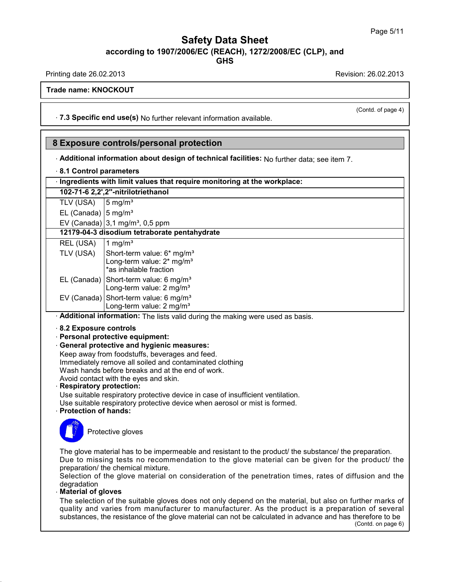# Safety Data Sheet<br><sub>006/EC (REACH), 1272/2008/EC (CLP),<br>GHS</sub> **according to 1907/2006/EC (REACH), 1272/2008/EC (CLP), and<br>according to 1907/2006/EC (REACH), 1272/2008/EC (CLP), and<br>compared to the Season of the Season of the Season of the Season of the Season of the Season of the Sea** Safety Data Sheet<br>according to 1907/2006/EC (REACH), 1272/2008/EC (CLP), and<br>Printing date 26.02.2013<br>Revision: 26.02.2013<br>Revision: 26.02.2013

**GHS**

(Contd. of page 4)

**Trade name: KNOCKOUT**

Printing date 26.02.2013<br> **Trade name: KNOCKOUT**<br>
T.3 Specific end use(s) No further relevant information available. **8 Exposure controls/personal protection<br>
4 Exposure controls/personal protection<br>
4 Exposure controls/personal protection<br>
4 Additional information about design of technical facilities:** 

# **Exposure controls/person**<br>• Additional information about de<br>• 8.1 Control parameters<br>• Ingredients with limit values tha

· **Additional information about design of technical facilities:** No further data; see item 7. **Exposure controls/personal protection**<br>• Additional information about design of technical facilities: No further data; se<br>• 8.1 Control parameters<br>• Ingredients with limit values that require monitoring at the workplace:<br>

| Ingredients with limit values that require monitoring at the workplace: |
|-------------------------------------------------------------------------|
|-------------------------------------------------------------------------|

|                                                                                                      | Additional information about design of technical facilit |
|------------------------------------------------------------------------------------------------------|----------------------------------------------------------|
| 8.1 Control parameters                                                                               |                                                          |
|                                                                                                      | Ingredients with limit values that require monitoring at |
|                                                                                                      | 102-71-6 2,2',2"-nitrilotriethanol                       |
|                                                                                                      |                                                          |
| TLV (USA) $\begin{vmatrix} 5 \text{ mg/m}^3 \\ \text{EL (Canada)} \end{vmatrix}$ 5 mg/m <sup>3</sup> |                                                          |
|                                                                                                      | EV (Canada) $3,1$ mg/m <sup>3</sup> , 0,5 ppm            |
|                                                                                                      | 12179-04-3 disodium tetraborate pentahydrate             |
| REL (USA) $\begin{bmatrix} 1 \text{ mg/m}^3 \\ \text{m} \end{bmatrix}$                               |                                                          |
|                                                                                                      |                                                          |

|                                                                                                               | TLV (USA)                                    | $15 \text{ mg/m}^3$                                                                                         |  |
|---------------------------------------------------------------------------------------------------------------|----------------------------------------------|-------------------------------------------------------------------------------------------------------------|--|
|                                                                                                               | EL (Canada) $ 5 \text{ mg/m}^3$              |                                                                                                             |  |
|                                                                                                               |                                              | EV (Canada) $ 3,1 \text{ mg/m}^3$ , 0,5 ppm                                                                 |  |
|                                                                                                               | 12179-04-3 disodium tetraborate pentahydrate |                                                                                                             |  |
|                                                                                                               | REL (USA)                                    | 1 mg/m <sup>3</sup>                                                                                         |  |
|                                                                                                               | TLV (USA)                                    | Short-term value: 6* mg/m <sup>3</sup><br>Long-term value: $2*$ mg/m <sup>3</sup><br>*as inhalable fraction |  |
|                                                                                                               |                                              | EL (Canada) Short-term value: 6 mg/m <sup>3</sup><br>Long-term value: 2 mg/m <sup>3</sup>                   |  |
|                                                                                                               |                                              | EV (Canada) Short-term value: 6 mg/m <sup>3</sup><br>Long-term value: 2 mg/m <sup>3</sup>                   |  |
|                                                                                                               |                                              | Additional information: The lists valid during the making were used as basis.                               |  |
| 8.2 Exposure controls<br>- Personal protective equipment:<br><b>General protective and hygienic measures:</b> |                                              |                                                                                                             |  |

EV (Canada) Short-term value: 6 mg/m<sup>3</sup><br>
Long-term value: 2 mg/m<sup>3</sup><br> **Additional information:** The lists valid of<br> **Personal protective equipment:**<br> **General protective and hygienic meas**<br>
Keen away from foodstuffs beverag

- 
- 
- 

**Experience 15 The End of Conservance Chernon Conservance Chernon Conservance Chernon Conservance Chernon Conservance Chernon Chernon Chernon Chernon Chernon Chernon Chernon Chernon Chernon Chernon Chernon Chernon Chernon** Additional information: The lists valid during the making were<br>8.2 Exposure controls<br>Personal protective equipment:<br>General protective and hygienic measures:<br>Keep away from foodstuffs, beverages and feed.<br>Immediately remov 8.2 Exposure controls<br>
Personal protective equipment:<br>
General protective and hygienic measures:<br>
Keep away from foodstuffs, beverages and feed.<br>
Immediately remove all soiled and contaminated clothing<br>
Wash hands before b 8.2 Exposure controls<br>Personal protective equipment:<br>General protective and hygienic measures:<br>Keep away from foodstuffs, beverages and feed.<br>Immediately remove all soiled and contaminated clothing<br>Wash hands before breaks Personal protective equipment:<br>General protective and hygienic measures:<br>Keep away from foodstuffs, beverages and feed.<br>Immediately remove all soiled and contaminated ck<br>Wash hands before breaks and at the end of work.<br>Avo • **General protective and hygienic measures:**<br>
Keep away from foodstuffs, beverages and feed.<br>
Immediately remove all soiled and contaminated clothing<br>
Wash hands before breaks and at the end of work.<br>
Avoid contact with t Keep away from foodstuffs, beverages and feed.<br>Immediately remove all soiled and contaminated clothing<br>Wash hands before breaks and at the end of work.<br>Avoid contact with the eyes and skin.<br>**Respiratory protection:**<br>Use su Immediately remove all soiled and contaminated clothing<br>Wash hands before breaks and at the end of work.<br>Avoid contact with the eyes and skin.<br>**Respiratory protection:**<br>Use suitable respiratory protective device in case of

From Prespiratory protective devable respiratory protective devable respiratory protective devable respiratory protective devable  $\Gamma$ 

Wash hands before breaks and a<br>Avoid contact with the eyes and s<br>**Respiratory protection:**<br>Use suitable respiratory protective<br>Use suitable respiratory protective<br>**Protection of hands:** 



Protection of hands:<br>
Protective gloves<br>
The glove material has to be impermeable and resistant to the product/ the substance/ the preparation.<br>
Due to missing tests no recommendation to the glove material can be given for Protective gloves<br>
The glove material has to be impermeable and resistant to the product/ the substance/ the preparation.<br>
Due to missing tests no recommendation to the glove material can be given for the product/ the<br>
pr **Protective gloves**<br>The glove material has to be impermeable are<br>Due to missing tests no recommendation<br>preparation/ the chemical mixture.<br>Selection of the glove material on conside<br>degradation The glove material has to be impermeable and resistant to the product/ the substance/ the preparation.<br>Due to missing tests no recommendation to the glove material can be given for the product/ the preparation/ the chemica

The glove material has to be in<br>Due to missing tests no rec<br>preparation/ the chemical mixtu<br>Selection of the glove materi<br>degradation<br>**Material of gloves**<br>The selection of the suitable g<br>quality and varies from man

### degradation<br>Material of gloves

Due to missing tests no recommendation to the glove material can be given for the product/ the<br>preparation/ the chemical mixture.<br>Selection of the glove material on consideration of the penetration times, rates of diffusio preparation/ the chemical mixture.<br>Selection of the glove material on consideration of the penetration times, rates of diffusion and the<br>degradation<br>**Material of gloves**<br>The selection of the suitable gloves does not only d The selection of the suitable gloves does not only depend on the material, but also on further marks of quality and varies from manufacturer to manufacturer. As the product is a preparation of several substances, the resi The marks of<br>
ion of several<br>
herefore to be<br>
(Contd. on page 6)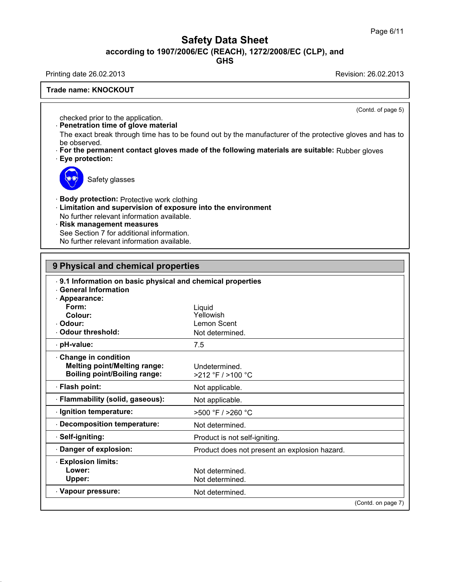# **Safety Data Sheet**<br> **according to 1907/2006/EC (REACH), 1272/2008/EC (CLP), and**<br> **GHS** Safety Data Sheet<br>according to 1907/2006/EC (REACH), 1272/2008/EC (CLP), and<br>Printing date 26.02.2013<br>Revision: 26.02.2013<br>Revision: 26.02.2013

**GHS**

**Trade name: KNOCKOUT**

(Contd. of page 5)

Printing date 26.02.2013<br>Trade name: KNOCKOUT<br>Checked prior to the application.<br>Penetration time of glove material

**Example 18 ANOCKOUT**<br> **Penetration time of glove material**<br>
The exact break through time has to be found<br>
be observed The exact break through time has to be found out by the manufacturer of the protective gloves and has to<br>
The exact break through time has to be found out by the manufacturer of the protective gloves and has to<br>
be observe checked prior to the a<br>**Penetration time of c**<br>The exact break throu<br>be observed.<br>**For the permanent c**<br>Eve protection: checked prior to the application.<br> **• Penetration time of glove material**<br>
The exact break through time has to be found out by the manufacturer of the protective gloves and has to<br>
be observed.<br>
• **For the permanent contac Example 15 Concreted prior to the applementation time of global The exact break through<br>the exact break through be observed.<br>For the permanent concrete permanent concrete permanent concrete permanent concrete permanent co** 

ved.<br>ved.<br>permanent contact glove<br>tection:<br>Safety glasses



- **Example 15 Safety glasses**<br>**Body protection:** Protective work clothing<br>**Limitation and supervision of exposure into the erable**<br>No further relevant information available **Example 3**<br> **Example 3**<br> **Example 3**<br> **Example 3**<br> **Limitation and supervision of exposure into the environment<br>
No further relevant information available.<br>
<b>Risk management measures** Safety glasses<br>
Body protection: Protective work clothing<br>
Limitation and supervision of exposure into the<br>
No further relevant information available.<br>
Risk management measures<br>
See Section 7 for additional information Body protection: Protective work clothing<br>Limitation and supervision of exposure into the<br>No further relevant information available.<br>Risk management measures<br>See Section 7 for additional information.<br>No further relevant in
- 
- 

**Example 15 Safety glasses**<br> **Example 15 Safety glasses**<br> **Risk management measures**<br> **Risk management measures**<br>
See Section 7 for additional information.<br>
No further relevant information available. **Body protection:** Protective work clothing<br> **Limitation and supervision of exposure into**<br>
No further relevant information available.<br> **Risk management measures**<br>
See Section 7 for additional information.<br>
No further rele

| 9 Physical and chemical properties                        |                                               |  |
|-----------------------------------------------------------|-----------------------------------------------|--|
| 9.1 Information on basic physical and chemical properties |                                               |  |
| <b>General Information</b>                                |                                               |  |
| · Appearance:                                             |                                               |  |
| Form:<br>Colour:                                          | Liquid<br>Yellowish                           |  |
| Odour:                                                    | Lemon Scent                                   |  |
| <b>Odour threshold:</b>                                   | Not determined.                               |  |
| · pH-value:                                               | 7.5                                           |  |
| <b>Change in condition</b>                                |                                               |  |
| <b>Melting point/Melting range:</b>                       | Undetermined.                                 |  |
| <b>Boiling point/Boiling range:</b>                       | >212 °F / >100 °C                             |  |
| · Flash point:                                            | Not applicable.                               |  |
| Flammability (solid, gaseous):                            | Not applicable.                               |  |
| · Ignition temperature:                                   | >500 °F / >260 °C                             |  |
| <b>Decomposition temperature:</b>                         | Not determined.                               |  |
| Self-igniting:                                            | Product is not self-igniting.                 |  |
| Danger of explosion:                                      | Product does not present an explosion hazard. |  |
| <b>Explosion limits:</b>                                  |                                               |  |
| Lower:                                                    | Not determined.                               |  |
| Upper:                                                    | Not determined.                               |  |
| · Vapour pressure:                                        | Not determined.                               |  |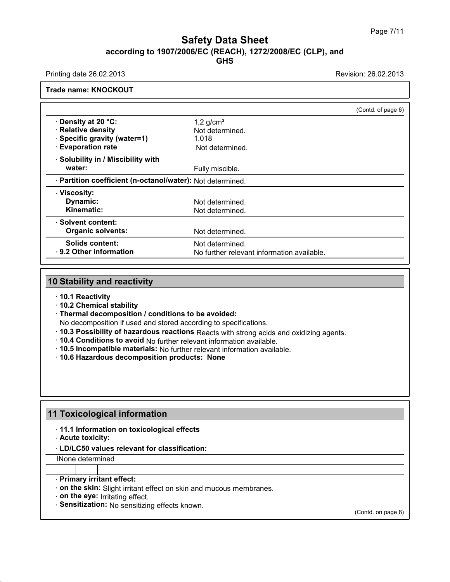# **Safety Data Sheet**<br> **according to 1907/2006/EC (REACH), 1272/2008/EC (CLP), and**<br> **GHS GHS** Safety Data Sheet<br>according to 1907/2006/EC (REACH), 1272/2008/EC (CLP), and<br>Printing date 26.02.2013<br>Revision: 26.02.2013<br>Revision: 26.02.2013

|                                                            | (Contd. of page 6)                         |  |
|------------------------------------------------------------|--------------------------------------------|--|
| Density at 20 °C:                                          | $1,2$ g/cm <sup>3</sup>                    |  |
| <b>Relative density</b>                                    | Not determined.                            |  |
| Specific gravity (water=1)                                 | 1.018                                      |  |
| <b>Evaporation rate</b>                                    | Not determined.                            |  |
| Solubility in / Miscibility with                           |                                            |  |
| water:                                                     | Fully miscible.                            |  |
| · Partition coefficient (n-octanol/water): Not determined. |                                            |  |
| · Viscosity:                                               |                                            |  |
| Dynamic:                                                   | Not determined.                            |  |
| <b>Kinematic:</b>                                          | Not determined.                            |  |
| <b>Solvent content:</b>                                    |                                            |  |
| <b>Organic solvents:</b>                                   | Not determined.                            |  |
| <b>Solids content:</b>                                     | Not determined.                            |  |
| 9.2 Other information                                      | No further relevant information available. |  |

- · **10.1 Reactivity**
- · **10.2 Chemical stability**
- · **Thermal decomposition / conditions to be avoided:**
- No decomposition if used and stored according to specifications.
- · **10.3 Possibility of hazardous reactions** Reacts with strong acids and oxidizing agents.
- · **10.4 Conditions to avoid** No further relevant information available.
- · **10.5 Incompatible materials:** No further relevant information available.
- · **10.6 Hazardous decomposition products: None**

- **11 Toxicological information 1 Toxicological information<br>• 11.1 Information on toxicological effects<br>• Acute toxicity:**<br>• LD/LC50 values relevant for classification: 11 Toxicological information<br>11.1 Information on toxicological effects<br>**Acute toxicity:**<br><u>LD/LC50 values relevant for classification:</u>
	-

# **Toxicological information**<br>• 11.1 Information on toxicological effects<br>• Acute toxicity:<br>• LD/LC50 values relevant for classification:<br>INone determined • **Acute toxicity:**<br>• **LD/LC50 values relevant for class**<br>• **Primary irritant effect:**<br>• **Primary irritant effect:**<br>• **on the skin:** Slight irritant effect on<br>• **on the eve:** Irritating effect

lNone determined

- **CONCOSO values relevant for classification:**<br>
None determined<br> **Primary irritant effect:**<br> **on the skin:** Slight irritant effect on skin and mucous membranes.<br> **on the eye:** Irritating effect.<br> **Sensitization:** No sensiti **Primary irritant effect:**<br> **• Primary irritant effect:**<br>
• **on the skin:** Slight irritant effect on skin and mucous me<br>
• **Sensitization:** No sensitizing effects known.
- 
- **Primary irritant effect:**<br>• **on the skin:** Slight irritant effect on skin and<br>• **on the eye:** Irritating effect.<br>• **Sensitization:** No sensitizing effects known.

(Contd. on page 8)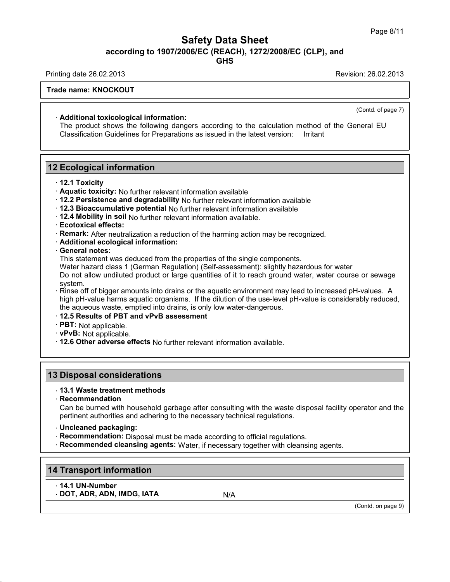## Safety Data Sheet<br><sub>006/EC (REACH), 1272/2008/EC (CLP),<br>GHS</sub> **according to 1907/2006/EC (REACH), 1272/2008/EC (CLP), and<br>according to 1907/2006/EC (REACH), 1272/2008/EC (CLP), and<br>compared to the Season of the Season of the Season of the Season of the Season of the Season of the Sea GHS** Safety Data Sheet<br>according to 1907/2006/EC (REACH), 1272/2008/EC (CLP), and<br>Printing date 26.02.2013<br>Revision: 26.02.2013<br>Revision: 26.02.2013

### **Trade name: KNOCKOUT**

· **Additional toxicological information:**

The product shows the following dangers according to the calculation method of the General EU Classification Guidelines for Preparations as issued in the latest version: Irritant **12 Ecological information:**<br> **12 Ecological information**<br> **12 Ecological information**<br> **12.1 Toxicity** 

- · **12.1 Toxicity**
- · **Aquatic toxicity:** No further relevant information available
- · **12.2 Persistence and degradability** No further relevant information available
- · **12.3 Bioaccumulative potential** No further relevant information available
- · **12.4 Mobility in soil** No further relevant information available.
- · **Ecotoxical effects:**
- · **Remark:** After neutralization a reduction of the harming action may be recognized.
- · **Additional ecological information:**
- · **General notes:**

This statement was deduced from the properties of the single components.

Water hazard class 1 (German Regulation) (Self-assessment): slightly hazardous for water

Do not allow undiluted product or large quantities of it to reach ground water, water course or sewage system.

· Rinse off of bigger amounts into drains or the aquatic environment may lead to increased pH-values. A high pH-value harms aquatic organisms. If the dilution of the use-level pH-value is considerably reduced, the aqueous waste, emptied into drains, is only low water-dangerous.

- · **12.5 Results of PBT and vPvB assessment**
- · **PBT:** Not applicable.
- · **vPvB:** Not applicable.
- · **12.6 Other adverse effects** No further relevant information available. **13 Disposal considerations**<br>
13 Disposal considerations<br>
13 Disposal considerations<br>
13 Disposal considerations<br>
13.1 Waste treatment methods

### · **13.1 Waste treatment methods**

· **Recommendation**

Disposal considerations<br>13.1 Waste treatment methods<br>Recommendation<br>Can be burned with household garbage after consulting with the waste disposal facility operator and the<br>pertinent authorities and adhering to the necessar **Disposal considerations**<br>13.1 Waste treatment methods<br>Recommendation<br>Can be burned with household garbage after consulting with the waste dispos<br>pertinent authorities and adhering to the necessary technical regulations.<br>U **Partiment authorities and adhering to the necessary technical regulations.**<br> **Concleaned packaging:**<br> **Recommendation:** Disposal must be made according to official regulations. • **Recommendation**<br>Can be burned with household garbage after consulting with the waste disposal fa<br>pertinent authorities and adhering to the necessary technical regulations.<br>• **Uncleaned packaging:**<br>• **Recommendation:** Di Can be burned with household garbage after consulting with the waste disposal facility operator and pertinent authorities and adhering to the necessary technical regulations.<br> **Conceleant packaging:**<br> **Recommendation:** Dis

- 
- 
- **14 Transport information**<br>
14 Transport information<br>
14 Transport information<br>
14.1 UN-Number<br>
14.1 UN-Number<br>
16 Note that

## **14 Transport information<br>14.1 UN-Number<br>DOT, ADR, ADN, IMDG, IATA · Transport information<br>· 14.1 UN-Number<br>· DOT, ADR, ADN, IMDG, IATA N/ANA N/ANA N/ANA**

(Contd. on page 9)

(Contd. of page 7)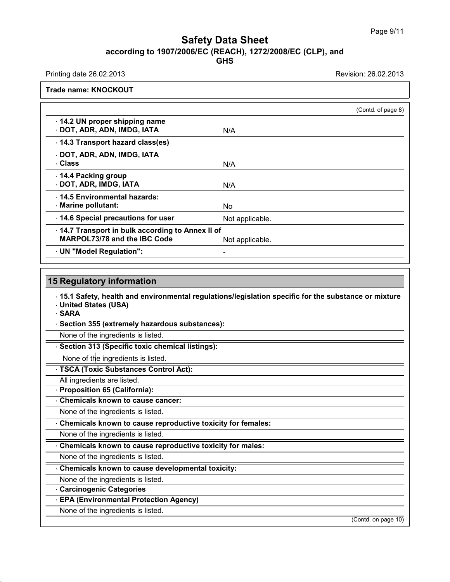## Safety Data Sheet<br><sub>006/EC (REACH), 1272/2008/EC (CLP),<br>GHS</sub> Page 9/11<br>**according to 1907/2006/EC (REACH), 1272/2008/EC (CLP), and<br>GHS<br>Revision: 26.02.2013<br>Revision: 26.02.2013 GHS Safety Data Sheet**<br>
according to 1907/2006/EC (REACH), 1272/2008/EC (CLP), and<br>
Printing date 26.02.2013<br>
Revision: 26.02.2013<br>
Revision: 26.02.2013

|                                                                                        |                 | (Contd. of page 8) |
|----------------------------------------------------------------------------------------|-----------------|--------------------|
| · 14.2 UN proper shipping name<br>DOT, ADR, ADN, IMDG, IATA                            | N/A             |                    |
| 14.3 Transport hazard class(es)                                                        |                 |                    |
| · DOT, ADR, ADN, IMDG, IATA<br><b>Class</b>                                            | N/A             |                    |
| 14.4 Packing group<br>DOT, ADR, IMDG, IATA                                             | N/A             |                    |
| . 14.5 Environmental hazards:<br>Marine pollutant:                                     | No.             |                    |
| 14.6 Special precautions for user                                                      | Not applicable. |                    |
| 14.7 Transport in bulk according to Annex II of<br><b>MARPOL73/78 and the IBC Code</b> | Not applicable. |                    |
| UN "Model Regulation":                                                                 |                 |                    |

**5 Regulatory information**<br>· 15.1 Safety, health and environmental regulations/legislation specific for the substance or mixture<br>· United States (USA)<br>· SARA **15 Regulatory information**<br>15.1 Safety, health and envir<br>United States (USA) • **15.1 Safety, health and environmental regulations/leg**<br>• United States (USA)<br>• SARA<br>• Section 355 (extremely hazardous substances):<br>None of the ingredients is listed. 15.1 Safety, health and environmental regu<br>United States (USA)<br>SARA<br>Section 355 (extremely hazardous substar<br>None of the ingredients is listed.<br>Section 313 (Specific toxic chemical listing

· **SARA**

• **SARA**<br>• **Section 355 (extremely hazardous substances):**<br>None of the ingredients is listed.<br>• **Section 313 (Specific toxic chemical listings):**<br>None of the ingredients is listed. None of the ingredients is listed.<br> **· Section 313 (Specific toxic chemical listings):**<br>
None of the ingredients is listed.<br> **· TSCA (Toxic Substances Control Act):**<br>
All ingredients are listed. Section 313 (Specific toxic chemical<br>
None of the ingredients is listed.<br>
TSCA (Toxic Substances Control A<br>
All ingredients are listed.<br>
Proposition 65 (California): None of the ingredients is listed.<br>None of the ingredients is listed.<br>None of the ingredients is listed.<br>None of the ingredients is listed.<br>None of the ingredients is listed.

**Example 15 (Specific text)**<br>
None of the ingredients is listed.<br> **TSCA (Toxic Substances Control**<br>
All ingredients are listed.<br> **Proposition 65 (California):**<br> **Chemicals known to cause cance FISCA (Toxic Substances Control Act):**<br>
All ingredients are listed.<br> **Proposition 65 (California):**<br> **Chemicals known to cause cancer:**<br>
None of the ingredients is listed.

TSCA (TOXIC SUbstances Control Act):<br>All ingredients are listed.<br>Proposition 65 (California):<br>Chemicals known to cause cancer:<br>None of the ingredients is listed.<br>Chemicals known to cause reproductive to • **Proposition 65 (California):**<br>• **Chemicals known to cause cancer:**<br>None of the ingredients is listed.<br>• **Chemicals known to cause reproductive toxicity for females:**<br>None of the ingredients is listed. **Chemicals known to cause cancer:**<br>
None of the ingredients is listed.<br>
Chemicals known to cause reproductive to<br>
None of the ingredients is listed.<br>
Chemicals known to cause reproductive to **• Chemicals known to cause reproductive toxicity for females:**<br>
None of the ingredients is listed.<br> **• Chemicals known to cause reproductive toxicity for males:**<br>
None of the ingredients is listed. **Chemicals known to cause reproductive to infinity Chemicals known to cause reproductive to Chemicals known to cause reproductive to None of the ingredients is listed.**<br> **Chemicals known to cause reproductive to None of th** 

None of the ingredients is listed.<br> **Chemicals known to cause reproductive toxicity for males:**<br>
None of the ingredients is listed.<br> **Chemicals known to cause developmental toxicity:**<br>
None of the ingredients is listed. None of the ingredients is listed.<br>
Chemicals known to cause reproductive to<br>
None of the ingredients is listed.<br>
None of the ingredients is listed.<br>
Carcinogenic Categories

**Example 3 None of the ingredients is listed.**<br> **Chemicals known to cause developedials in Section 2 None of the ingredients is listed.**<br> **Carcinogenic Categories**<br> **EPA (Environmental Protection A** • **Chemicals known to cause developmental toxicit**<br>• **Chemicals known to cause developmental toxicit**<br>• **Carcinogenic Categories**<br>• **EPA (Environmental Protection Agency)**<br>• None of the ingredients is listed.

None of the ingredients is listed.<br> **Carcinogenic Categories**<br> **EPA (Environmental Protection Agency)**<br>
None of the ingredients is listed.

(Contd. on page 10)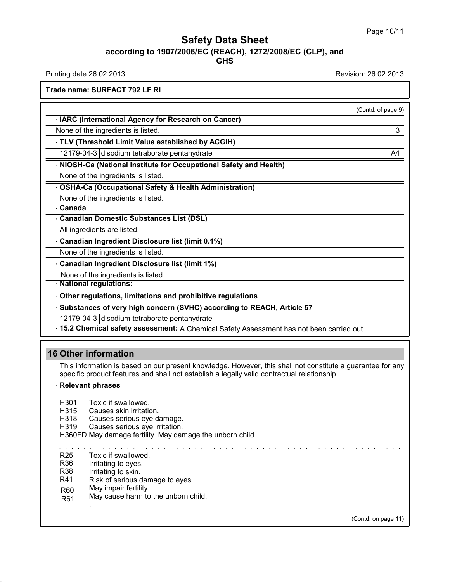### Safety Data Sheet<br><sub>006/EC (REACH), 1272/2008/EC (CLP),<br>GHS</sub> **according to 1907/2006/EC (REACH), 1272/2008/EC (CLP), and GHS Safety Data Sheet**<br>
according to 1907/2006/EC (REACH), 1272/2008/EC (CLP), and<br>
Printing date 26.02.2013<br>
Revision: 26.02.2013<br>
Revision: 26.02.2013<br>
Revision: 26.02.2013 **ACCORDING 1907/2006/EC (IDENTIFY:**<br>Printing date 26.02.2013<br>Trade name: SURFACT 792 LF RI

(Contd. of page 9)

| Trade name: SURFACT 792 LF RI                                      |                    |
|--------------------------------------------------------------------|--------------------|
|                                                                    | (Contd. of page 9) |
| <b>IARC (International Agency for Research on Cancer)</b>          |                    |
| None of the ingredients is listed.                                 |                    |
| TLV (Threshold Limit Value established by ACGIH)                   |                    |
| 12179-04-3 disodium tetraborate pentahydrate                       | A4                 |
| · NIOSH-Ca (National Institute for Occupational Safety and Health) |                    |
| None of the ingredients is listed.                                 |                    |
|                                                                    |                    |

12179-04-3 disodium tetraborate pentahydrate<br> **NIOSH-Ca (National Institute for Occupational Safety and Health Administration)**<br> **OSHA-Ca (Occupational Safety & Health Administration)**<br>
None of the ingredients is listed. **NIOSH-Ca (National Institute for Occupation**<br>NIOSH-Ca (National Institute for Occupation<br>OSHA-Ca (Occupational Safety & Health A<br>None of the ingredients is listed.<br>Canada

**COSHA-Ca (Occupational Safety & Health Administration)**<br>None of the ingredients is listed.<br>**Canadian Domestic Substances List (DSL)**<br>All ingredients are listed.<br>**Canadian Ingredient Disclosure list (limit 0.1%)** 

· **Canada**

**OSHA-Ca (Occupational Safety & H**<br>None of the ingredients is listed.<br>**Canadian Domestic Substances Listed.**<br>All ingredients are listed.<br>**Canadian Ingredient Disclosure list** Canadian Domestic Substances List (DSL)<br>All ingredients are listed.<br>Canadian Ingredient Disclosure list (limit (<br>None of the ingredients is listed.<br>Canadian Ingredient Disclosure list (limit 1

• **Canadian Domestic Substances List (DSL)**<br>• **Canadian Domestic Substances List (DSL)**<br>• All ingredients are listed.<br>• **Canadian Ingredient Disclosure list (limit 0.1%)**<br>• None of the ingredients is listed. All ingredients are listed.<br> **Canadian Ingredient Disclosure list (limit 0.1%)**<br>
None of the ingredients is listed.<br> **Canadian Ingredient Disclosure list (limit 1%)**<br>
None of the ingredients is listed.

None of the ingredients is listed.

**• None of the ingredients is listed.**<br>
• **Canadian Ingredient Disclosure list (limit 1%)**<br>
• None of the ingredients is listed.<br>
• **National regulations:**<br>
• **Other regulations, limitations and prohibitive regulations** Notie of the ingredients is listed.<br>
National regulations:<br>
Other regulations, limitations and prohibitive regulat<br>
Substances of very high concern (SVHC) according<br>
12179-04-3 disodium tetraborate pentahydrate<br>
15.2 Chemi

• Canadian Ingredient Disclosure list (limit 1%)<br>
None of the ingredients is listed.<br>
• National regulations:<br>
• Other regulations, limitations and prohibitive regulations<br>
• Substances of very high concern (SVHC) accordin • None of the ingredients is listed.<br>• National regulations:<br>• Other regulations, limitations and prohibitive regulations<br>• Substances of very high concern (SVHC) according to REACH, Article 57<br>12179-04-3 disodium tetrabo

• Other regulations, limitations and prohibitive regulations<br>• Substances of very high concern (SVHC) according to REACH, Article 57<br>• 12179-04-3 disodium tetraborate pentahydrate<br>• 15.2 Chemical safety assessment: A Chemi

**12179-04-3** disodium tetraborate p<br> **15.2 Chemical safety assessment**<br> **16 Other information**<br>
This information is based on our prospecific product features and shall if This information<br>
This information<br>
This information is based on our present knowledge. However, this shall not constitute a guarantee for any<br>
specific product features and shall not establish a legally valid contractual **Specific product features and shall not establish a legally valid contractual relationship.**<br> **Relevant phrases**<br> **Relevant phrases S Other information**<br>This information is based on<br>specific product features and<br>**Relevant phrases**<br>H301 Toxic if swallowed This information is based on our pre<br>specific product features and shall r<br>**Relevant phrases**<br>H301 Toxic if swallowed.<br>H315 Causes skin irritation.<br>H318 Causes serious eve damag specific product features and shall not establish a legally valid contractual relationship.<br> **Relevant phrases**<br>
H301 Toxic if swallowed.<br>
H315 Causes skin irritation.<br>
H318 Causes serious eye damage.<br>
H319 Causes serious

- 
- 
- Specific product reduces and shall not establish.<br> **Relevant phrases**<br>
H315 Causes skin irritation.<br>
H318 Causes serious eye damage.<br>
H319 Causes serious eye irritation.<br>
H360ED May damage fertility. May damage the L

H360FD May damage fertility. May damage the unborn child. H301 Toxic if swallowed.<br>H315 Causes skin irritation.<br>H318 Causes serious eye damage.<br>H319 Causes serious eye irritation.<br>H360FD May damage fertility. May damage the unborn child.

R25 Toxic if swallowed.

- R36 Irritating to eyes.
- R38 Irritating to skin.
- R41 Risk of serious damage to eyes.
- R60 May impair fertility.
- R61 May cause harm to the unborn child. .

(Contd. on page 11)